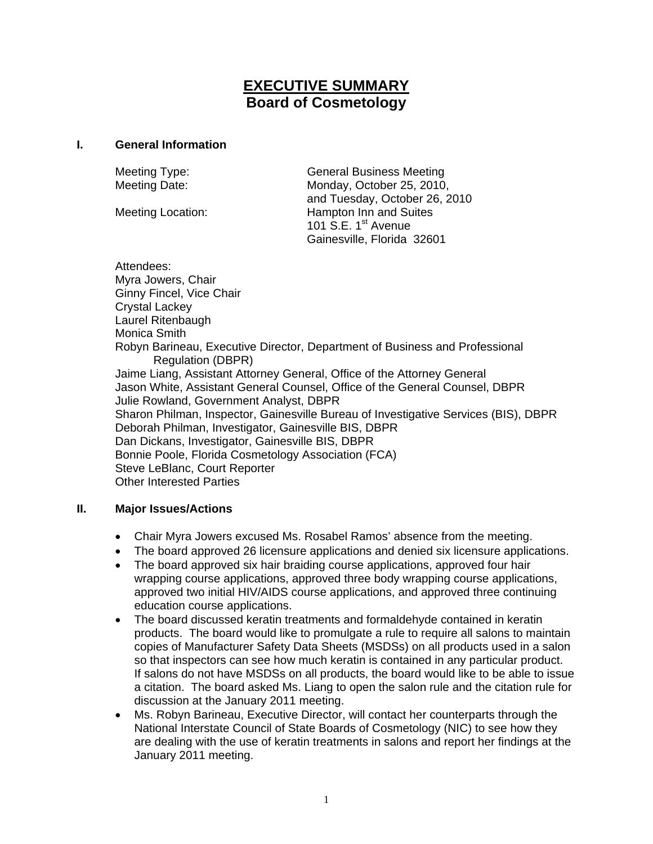# **EXECUTIVE SUMMARY Board of Cosmetology**

#### **I. General Information**

Meeting Type: General Business Meeting Meeting Date: Monday, October 25, 2010, and Tuesday, October 26, 2010 Meeting Location: **Hampton Inn and Suites** 101 S.E. 1<sup>st</sup> Avenue Gainesville, Florida 32601

Attendees: Myra Jowers, Chair Ginny Fincel, Vice Chair Crystal Lackey Laurel Ritenbaugh Monica Smith Robyn Barineau, Executive Director, Department of Business and Professional Regulation (DBPR) Jaime Liang, Assistant Attorney General, Office of the Attorney General Jason White, Assistant General Counsel, Office of the General Counsel, DBPR Julie Rowland, Government Analyst, DBPR Sharon Philman, Inspector, Gainesville Bureau of Investigative Services (BIS), DBPR Deborah Philman, Investigator, Gainesville BIS, DBPR Dan Dickans, Investigator, Gainesville BIS, DBPR Bonnie Poole, Florida Cosmetology Association (FCA) Steve LeBlanc, Court Reporter Other Interested Parties

## **II. Major Issues/Actions**

- Chair Myra Jowers excused Ms. Rosabel Ramos' absence from the meeting.
- The board approved 26 licensure applications and denied six licensure applications.
- The board approved six hair braiding course applications, approved four hair wrapping course applications, approved three body wrapping course applications, approved two initial HIV/AIDS course applications, and approved three continuing education course applications.
- The board discussed keratin treatments and formaldehyde contained in keratin products. The board would like to promulgate a rule to require all salons to maintain copies of Manufacturer Safety Data Sheets (MSDSs) on all products used in a salon so that inspectors can see how much keratin is contained in any particular product. If salons do not have MSDSs on all products, the board would like to be able to issue a citation. The board asked Ms. Liang to open the salon rule and the citation rule for discussion at the January 2011 meeting.
- Ms. Robyn Barineau, Executive Director, will contact her counterparts through the National Interstate Council of State Boards of Cosmetology (NIC) to see how they are dealing with the use of keratin treatments in salons and report her findings at the January 2011 meeting.